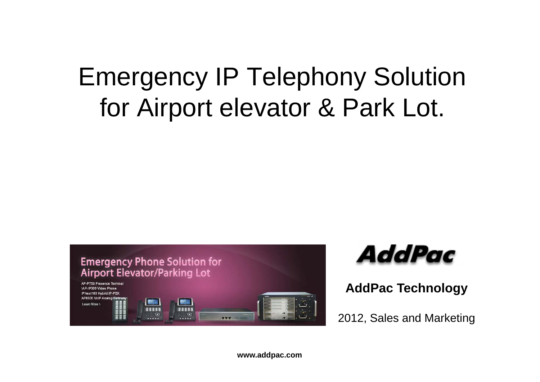## Emergency IP Telephony Solution for Airport elevator & Park Lot.





**AddPac Technology**

2012, Sales and Marketing

**www.addpac.com**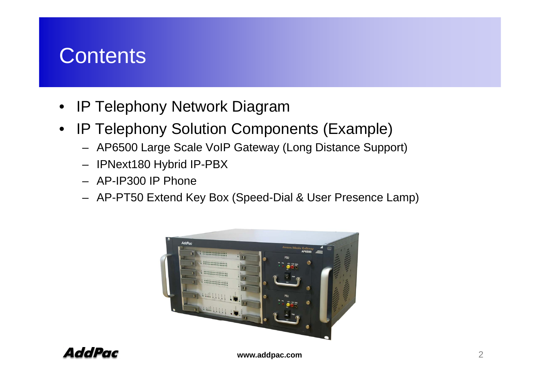### **Contents**

- $\bullet$ IP Telephony Network Diagram
- $\bullet$  IP Telephony Solution Components (Example)
	- AP6500 Large Scale VoIP Gateway (Long Distance Support) Gateway Support)
	- IPNext180 Hybrid IP-PBX
	- AP-IP300 IP Phone
	- AP-PT50 Extend Key Box (Speed-Dial & User Presence Lamp)



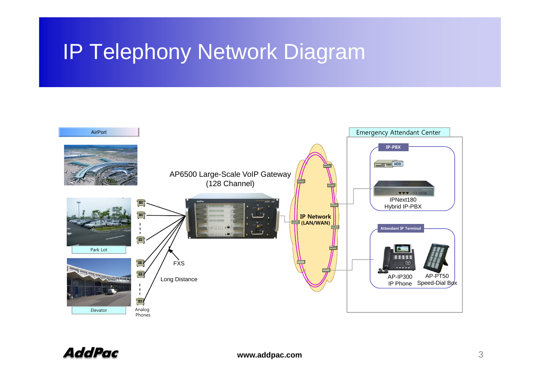### IP Telephony Network Diagram

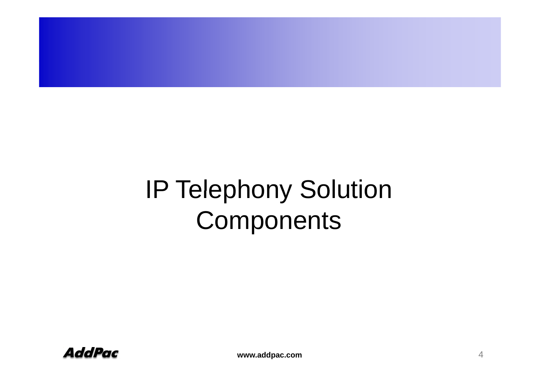## IP Telephony Solution **Components**

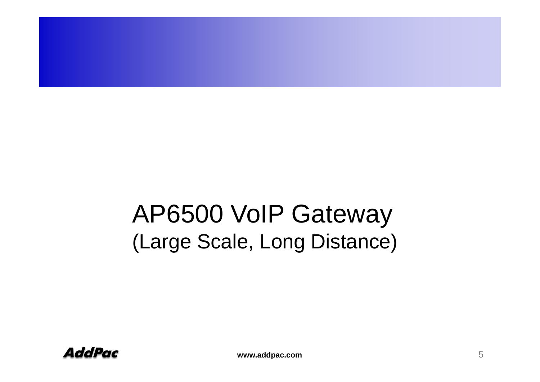## AP6500 VoIP Gateway (Large Scale, Long Distance)

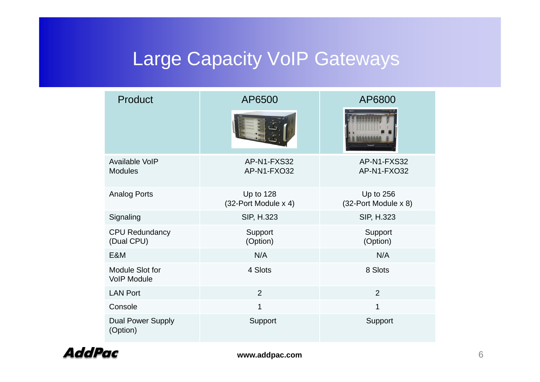### Large Capacity VoIP Gateways

| Product                               | AP6500                            | AP6800                              |  |
|---------------------------------------|-----------------------------------|-------------------------------------|--|
|                                       |                                   |                                     |  |
| Available VoIP<br><b>Modules</b>      | AP-N1-FXS32<br>AP-N1-FXO32        | AP-N1-FXS32<br>AP-N1-FXO32          |  |
| <b>Analog Ports</b>                   | Up to 128<br>(32-Port Module x 4) | Up to $256$<br>(32-Port Module x 8) |  |
| Signaling                             | SIP, H.323                        | SIP, H.323                          |  |
| <b>CPU Redundancy</b><br>(Dual CPU)   | Support<br>(Option)               | Support<br>(Option)                 |  |
| E&M                                   | N/A                               | N/A                                 |  |
| Module Slot for<br><b>VoIP Module</b> | 4 Slots                           | 8 Slots                             |  |
| <b>LAN Port</b>                       | $\overline{2}$                    | $\overline{2}$                      |  |
| Console                               | 1                                 | 1                                   |  |
| <b>Dual Power Supply</b><br>(Option)  | Support                           | Support                             |  |

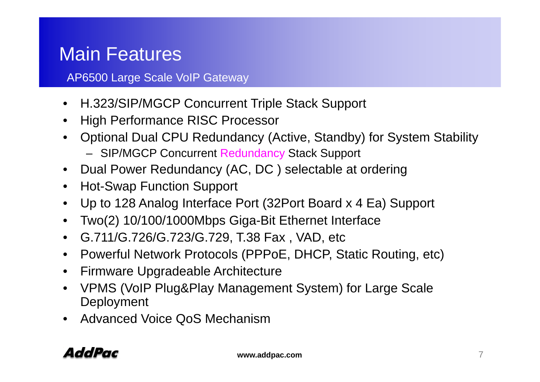### Main Features

AP6500 Large Scale VoIP Gateway

- H.323/SIP/MGCP Concurrent Triple Stack Support
- High Performance RISC Processor
- Optional Dual CPU Redundancy (Active, Standby) for System Stability
	- SIP/MGCP Concurrent Redundancy Stack Support
- Dual Power Redundancy (AC, DC ) selectable at ordering
- Hot-Swap Function Support
- Up to 128 Analog Interface Port (32Port Board x 4 Ea) Support
- Two(2) 10/100/1000Mbps Giga-Bit Ethernet Interface
- G.711/G.726/G.723/G.729, T.38 Fax , VAD, etc
- Powerful Network Protocols (PPPoE, DHCP, Static Routing, etc)
- Firmware Upgradeable Architecture
- VPMS (VoIP Plug&Play Management System) for Large Scale Deployment
- Advanced Voice QoS Mechanism \_ \_ \_ \_ \_ \_ \_

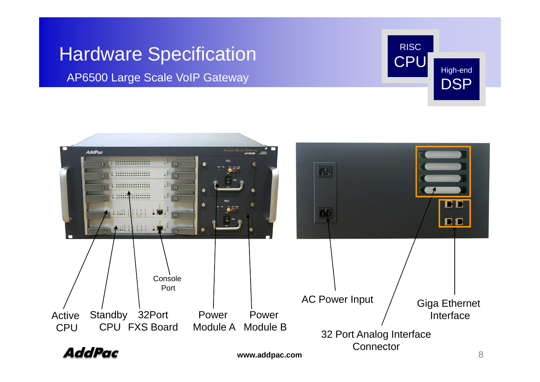## Hardware Specification RISC CPU

AP6500 Large Scale VoIP Gateway



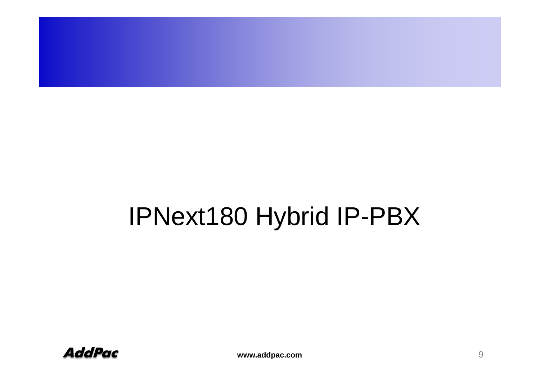

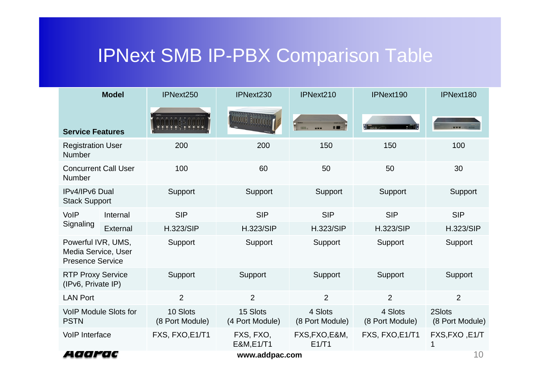### IPNext SMB IP-PBX Comparison Table

|                                                                      | <b>Model</b> | IPNext250                   | IPNext230                   | IPNext210                        | IPNext190                  | IPNext180                 |
|----------------------------------------------------------------------|--------------|-----------------------------|-----------------------------|----------------------------------|----------------------------|---------------------------|
| <b>Service Features</b>                                              |              |                             | ANTH HILL                   | 8<br><b>THILL.</b><br><b>UNK</b> |                            |                           |
| <b>Registration User</b><br>Number                                   |              | 200                         | 200                         | 150                              | 150                        | 100                       |
| <b>Concurrent Call User</b><br>Number                                |              | 100                         | 60                          | 50                               | 50                         | 30                        |
| IPv4/IPv6 Dual<br><b>Stack Support</b>                               |              | Support                     | Support                     | Support                          | Support                    | Support                   |
| VoIP<br>Signaling                                                    | Internal     | <b>SIP</b>                  | <b>SIP</b>                  | <b>SIP</b>                       | <b>SIP</b>                 | <b>SIP</b>                |
|                                                                      | External     | <b>H.323/SIP</b>            | <b>H.323/SIP</b>            | <b>H.323/SIP</b>                 | <b>H.323/SIP</b>           | <b>H.323/SIP</b>          |
| Powerful IVR, UMS,<br>Media Service, User<br><b>Presence Service</b> |              | Support                     | Support                     | Support                          | Support                    | Support                   |
| <b>RTP Proxy Service</b><br>(IPv6, Private IP)                       |              | <b>Support</b>              | Support                     | Support                          | <b>Support</b>             | <b>Support</b>            |
| <b>LAN Port</b>                                                      |              | $\overline{2}$              | $\overline{2}$              | $\overline{2}$                   | $\overline{2}$             | $\overline{2}$            |
| <b>VoIP Module Slots for</b><br><b>PSTN</b>                          |              | 10 Slots<br>(8 Port Module) | 15 Slots<br>(4 Port Module) | 4 Slots<br>(8 Port Module)       | 4 Slots<br>(8 Port Module) | 2Slots<br>(8 Port Module) |
| <b>VoIP Interface</b>                                                |              | FXS, FXO, E1/T1             | FXS, FXO,<br>E&M, E1/T1     | FXS, FXO, E&M,<br>E1/T1          | FXS, FXO, E1/T1            | FXS, FXO, E1/T            |
| Aaarac<br>www.addpac.com                                             |              |                             |                             |                                  | 10                         |                           |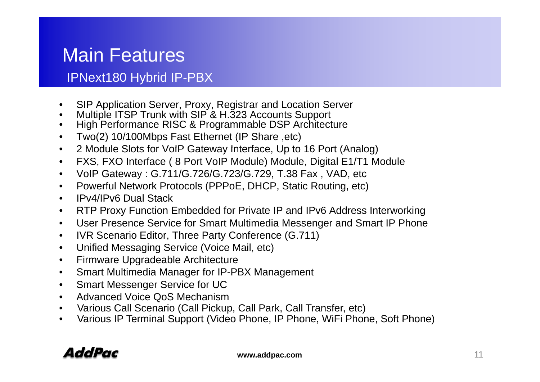### Main Features

#### IPNext180 Hybrid IP-PBX

- •SIP Application Server, Proxy, Registrar and Location Server
- •Multiple ITSP Trunk with SIP & H.323 Accounts Support
- •High Performance RISC & Programmable DSP Architecture
- $\bullet$ Two(2) 10/100Mbps Fast Ethernet (IP Share ,etc)
- •2 Module Slots for VoIP Gateway Interface, Up to 16 Port (Analog)
- •FXS, FXO Interface ( 8 Port VoIP Module) Module, Digital E1/T1 Module
- $\bullet$ VoIP Gateway : G.711/G.726/G.723/G.729, T.38 Fax , VAD, etc
- •Powerful Network Protocols (PPPoE, DHCP, Static Routing, etc)
- •IPv4/IPv6 Dual Stack
- $\bullet$ RTP Proxy Function Embedded for Private IP and IPv6 Address Interworking
- •User Presence Service for Smart Multimedia Messenger and Smart IP Phone
- $\bullet$ IVR Scenario Editor, Three Party Conference (G.711)
- •Unified Messaging Service (Voice Mail, etc)
- •Firmware Upgradeable Architecture
- •Smart Multimedia Manager for IP-PBX Management
- •Smart Messenger Service for UC
- •Advanced Voice QoS Mechanism
- •Various Call Scenario (Call Pickup, Call Park, Call Transfer, etc)
- •• Various IP Terminal Support (Video Phone, IP Phone, WiFi Phone, Soft Phone)

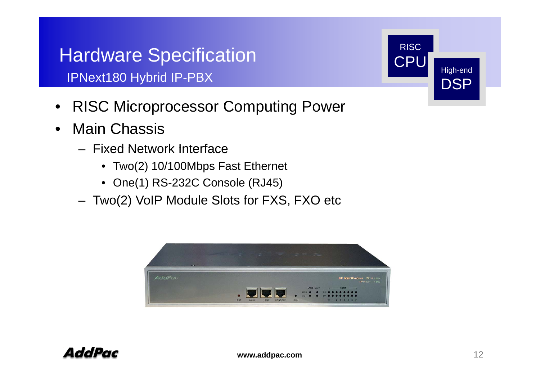## Hardware Specification **CPU**

IPNext180 Hybrid IP-PBX

- RISC Microprocessor Computing Power •
- • Main Chassis
	- Fixed Network Interface
		- Two(2) 10/100Mbps Fast Ethernet
		- One(1) RS-232C Console (RJ45)
	- –Two(2) VoIP Module Slots for FXS, FXO etc





**RISC** 

 $\textsf{CPU}$  High-end

**DSP**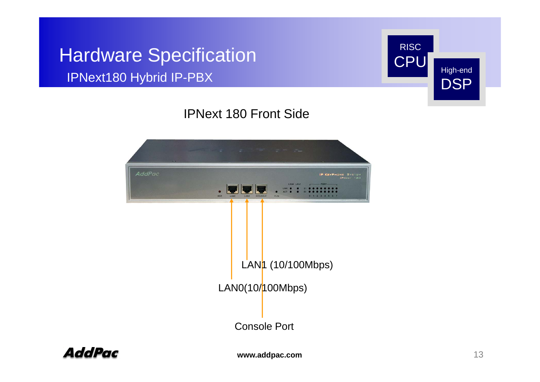### Hardware Specification **CPU** IPNext180 Hybrid IP-PBX



#### IPNext 180 Front Side



AddPac

**www.addpac.com** 13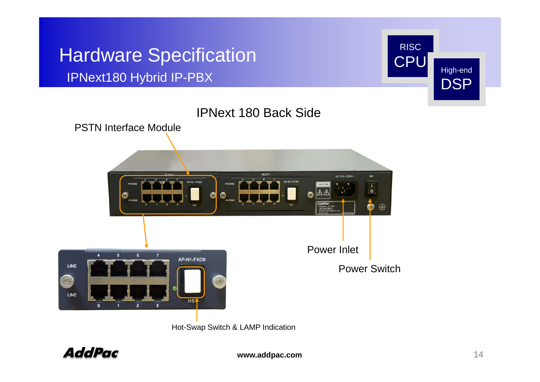## Hardware Specification **CPU**

#### IPNext180 Hybrid IP-PBX





Hot-Swap Switch & LAMP Indication

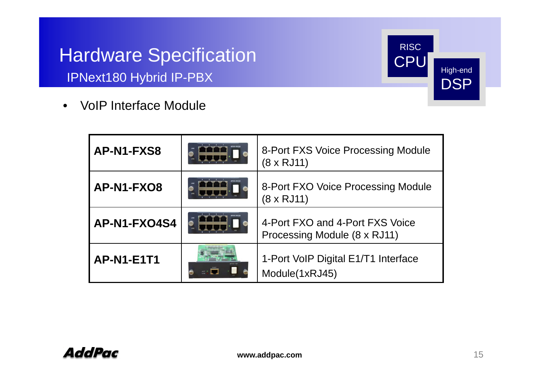### Hardware Specification **CPU** IPNext180 Hybrid IP-PBX

RISCCPU High-end DSP

• VoIP Interface Module

| AP-N1-FXS8        | 8-Port FXS Voice Processing Module<br>$(8 \times RJ11)$         |
|-------------------|-----------------------------------------------------------------|
| AP-N1-FXO8        | 8-Port FXO Voice Processing Module<br>$(8 \times RJ11)$         |
| AP-N1-FXO4S4      | 4-Port FXO and 4-Port FXS Voice<br>Processing Module (8 x RJ11) |
| <b>AP-N1-E1T1</b> | 1-Port VoIP Digital E1/T1 Interface<br>Module(1xRJ45)           |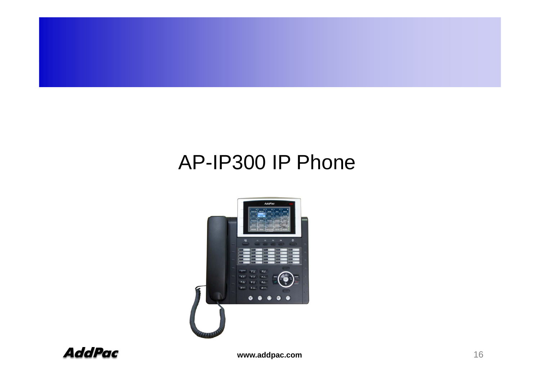

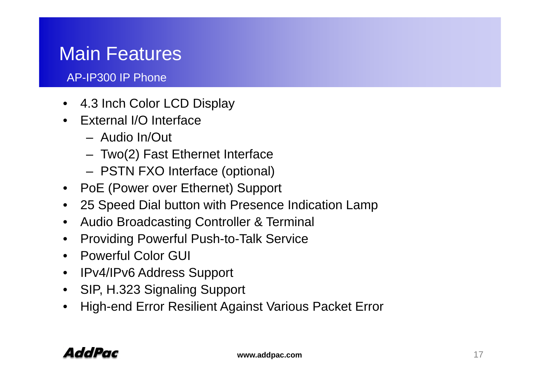### Main Features

- 4.3 Inch Color LCD Display
- External I/O Interface
	- Audio In/Out
	- Two(2) Fast Ethernet Interface
	- PSTN FXO Interface (optional)
- PoE (Power over Ethernet) Support
- 25 Speed Dial button with Presence Indication Lamp
- •Audio Broadcasting Controller & Terminal
- $\bullet$ Providing Powerful Push-to-Talk Service
- Powerful Color GUI
- IPv4/IPv6 Address Support
- SIP, H.323 Signaling Support
- •High-end Error Resilient Against Various Packet Error

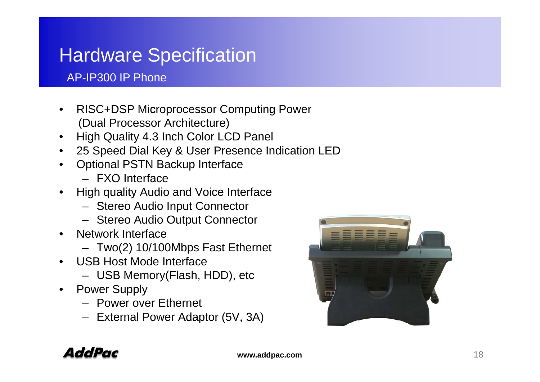### Hardware Specification

- $\bullet$  RISC+DSP Microprocessor Computing Powe r (Dual Processor Architecture)
- •High Quality 4.3 Inch Color LCD Panel
- •• 25 Speed Dial Key & User Presence Indication LED
- • Optional PSTN Backup Interface
	- FXO Interface
- • High quality Audio and Voice Interface
	- Stereo Audio Input Connector
	- Stereo Audio Output Connector
- • Network Interface. . . . . . . . . . .
	- Two(2) 10/100Mbps Fast Ethernet
- • USB Host Mode Interface
	- USB Memory(Flash, HDD), etc
- $\bullet$  Power Supply
	- Power over Ethernet
	- External Power Adaptor (5V, 3A)



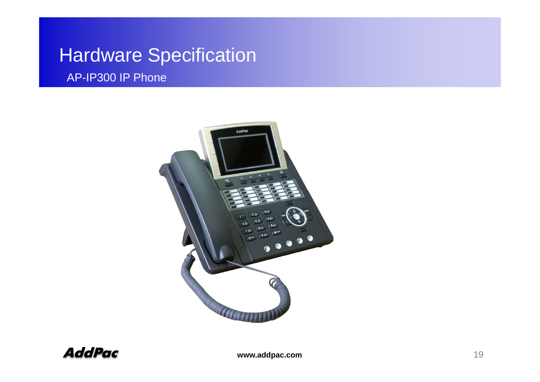### Hardware Specification



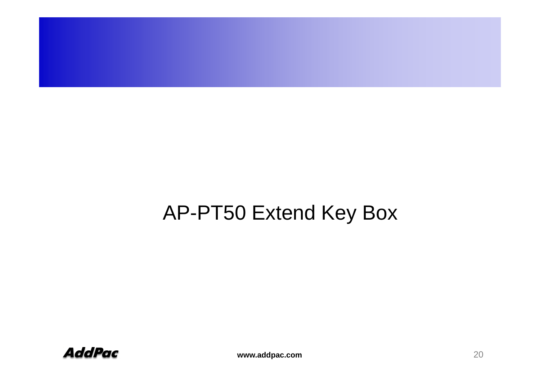

### AP-PT50 Extend Key Box

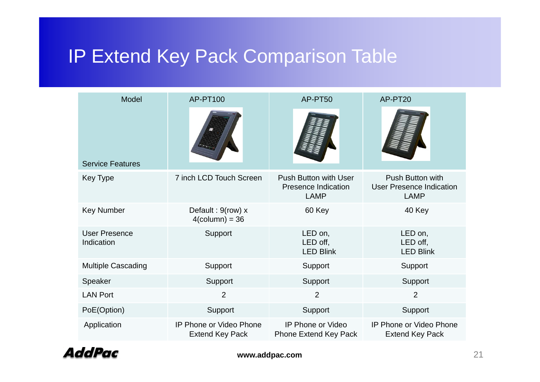### IP Extend Key Pack Comparison Table

| Model                              | AP-PT100                                                 | AP-PT50                                                  | AP-PT20                                             |  |
|------------------------------------|----------------------------------------------------------|----------------------------------------------------------|-----------------------------------------------------|--|
| <b>Service Features</b>            |                                                          |                                                          |                                                     |  |
| Key Type                           | 7 inch LCD Touch Screen                                  | Push Button with User<br>Presence Indication             | Push Button with<br><b>User Presence Indication</b> |  |
|                                    |                                                          | <b>LAMP</b>                                              | <b>LAMP</b>                                         |  |
| <b>Key Number</b>                  | Default: 9(row) x<br>$4$ (column) = 36                   | 60 Key                                                   | 40 Key                                              |  |
| <b>User Presence</b><br>Indication | Support                                                  | LED on,<br>LED off,<br><b>LED Blink</b>                  | LED on,<br>LED off,<br><b>LED Blink</b>             |  |
| <b>Multiple Cascading</b>          | Support                                                  | Support                                                  | Support                                             |  |
| Speaker                            | Support                                                  | Support                                                  | Support                                             |  |
| <b>LAN Port</b>                    | $\overline{2}$                                           | $\overline{2}$                                           | $\overline{2}$                                      |  |
| PoE(Option)                        | Support                                                  | Support                                                  | Support                                             |  |
| Application                        | <b>IP Phone or Video Phone</b><br><b>Extend Key Pack</b> | <b>IP Phone or Video</b><br><b>Phone Extend Key Pack</b> | IP Phone or Video Phone<br><b>Extend Key Pack</b>   |  |

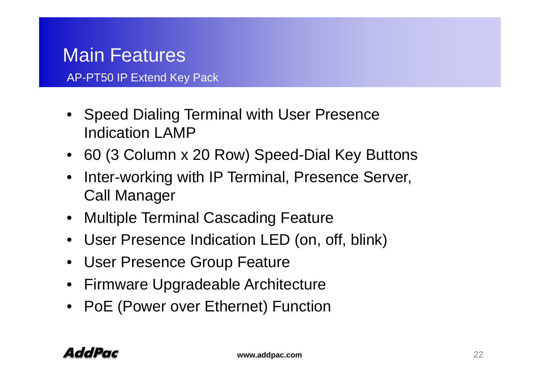### Main Features

AP-PT50 IP Extend Key Pack

- Speed Dialing Terminal with User Presence Indication LAMP
- 60 (3 Column x 20 Row) Speed-Dial Key Buttons
- $\bullet$  Inter-working with IP Terminal, Presence Server, Call Manager
- Multiple Terminal Cascading Feature
- User Presence Indication LED (on, off, blink)
- User Presence Group Feature
- Firmware Upgradeable Architecture
- PoE (Power over Ethernet) Function

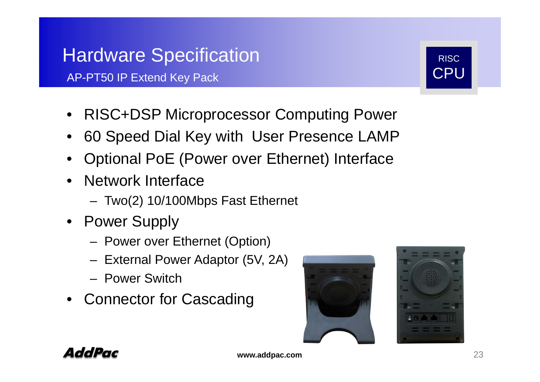### Hardware Specification **Rights** Risc

AP-PT50 IP Extend Key Pack

- RISC+DSP Microprocessor Computing Power
- 60 Speed Dial Key with User Presence LAMP
- Optional PoE (Power over Ethernet) Interface
- Network Interface
	- Two(2) 10/100Mbps Fast Ethernet
- Power Supply
	- Power over Ethernet (Option)
	- External Power Adaptor (5V, 2A)
	- Power Switch
- Connector for Cascading





CPU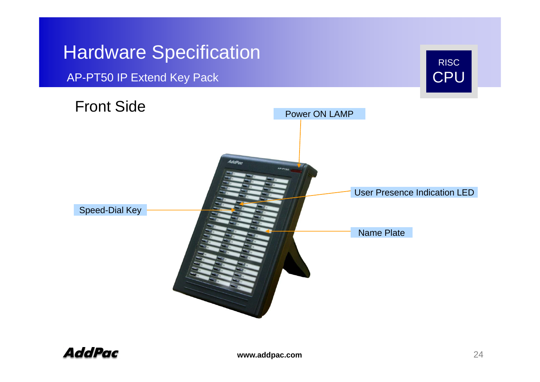#### Hardware SSpecification **Specification**

AP-PT50 IP Extend Key Pack CPU



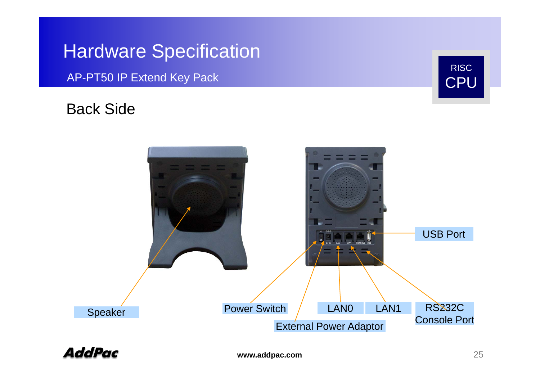### Hardware Specification

AP-PT50 IP Extend Key Pack

#### Back Side





RISC

CPU